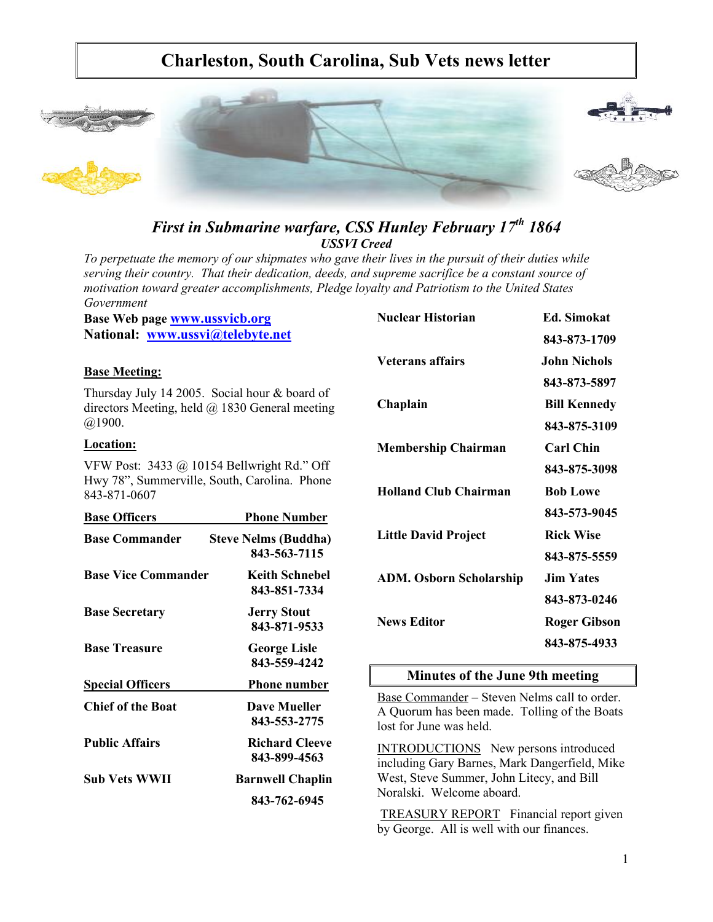# **Charleston, South Carolina, Sub Vets news letter**



# *First in Submarine warfare, CSS Hunley February 17th 1864 USSVI Creed*

*To perpetuate the memory of our shipmates who gave their lives in the pursuit of their duties while serving their country. That their dedication, deeds, and supreme sacrifice be a constant source of motivation toward greater accomplishments, Pledge loyalty and Patriotism to the United States Government*

**Base Web page www.ussvicb.org National: www.ussvi@telebyte.net**

#### **Base Meeting:**

Thursday July 14 2005. Social hour & board of directors Meeting, held @ 1830 General meeting @1900.

#### **Location:**

VFW Post: 3433 @ 10154 Bellwright Rd." Off Hwy 78", Summerville, South, Carolina. Phone 843-871-0607

| <b>Base Officers</b>       | <b>Phone Number</b>                         |
|----------------------------|---------------------------------------------|
| <b>Base Commander</b>      | <b>Steve Nelms (Buddha)</b><br>843-563-7115 |
| <b>Base Vice Commander</b> | Keith Schnebel<br>843-851-7334              |
| <b>Base Secretary</b>      | <b>Jerry Stout</b><br>843-871-9533          |
| <b>Base Treasure</b>       | <b>George Lisle</b><br>843-559-4242         |
| <b>Special Officers</b>    | <b>Phone number</b>                         |
| <b>Chief of the Boat</b>   | <b>Dave Mueller</b><br>843-553-2775         |
| <b>Public Affairs</b>      | <b>Richard Cleeve</b><br>843-899-4563       |
| Sub Vets WWII              | <b>Barnwell Chaplin</b>                     |
|                            | 843-762-6945                                |

| <b>Nuclear Historian</b>       | <b>Ed.</b> Simokat  |
|--------------------------------|---------------------|
|                                | 843-873-1709        |
| <b>Veterans affairs</b>        | John Nichols        |
|                                | 843-873-5897        |
| Chaplain                       | <b>Bill Kennedy</b> |
|                                | 843-875-3109        |
| <b>Membership Chairman</b>     | <b>Carl Chin</b>    |
|                                | 843-875-3098        |
| <b>Holland Club Chairman</b>   | <b>Bob Lowe</b>     |
|                                | 843-573-9045        |
| <b>Little David Project</b>    | <b>Rick Wise</b>    |
|                                | 843-875-5559        |
| <b>ADM. Osborn Scholarship</b> | <b>Jim Yates</b>    |
|                                | 843-873-0246        |
| <b>News Editor</b>             | <b>Roger Gibson</b> |
|                                | 843-875-4933        |

# **Minutes of the June 9th meeting**

Base Commander – Steven Nelms call to order. A Quorum has been made. Tolling of the Boats lost for June was held.

INTRODUCTIONS New persons introduced including Gary Barnes, Mark Dangerfield, Mike West, Steve Summer, John Litecy, and Bill Noralski. Welcome aboard.

TREASURY REPORT Financial report given by George. All is well with our finances.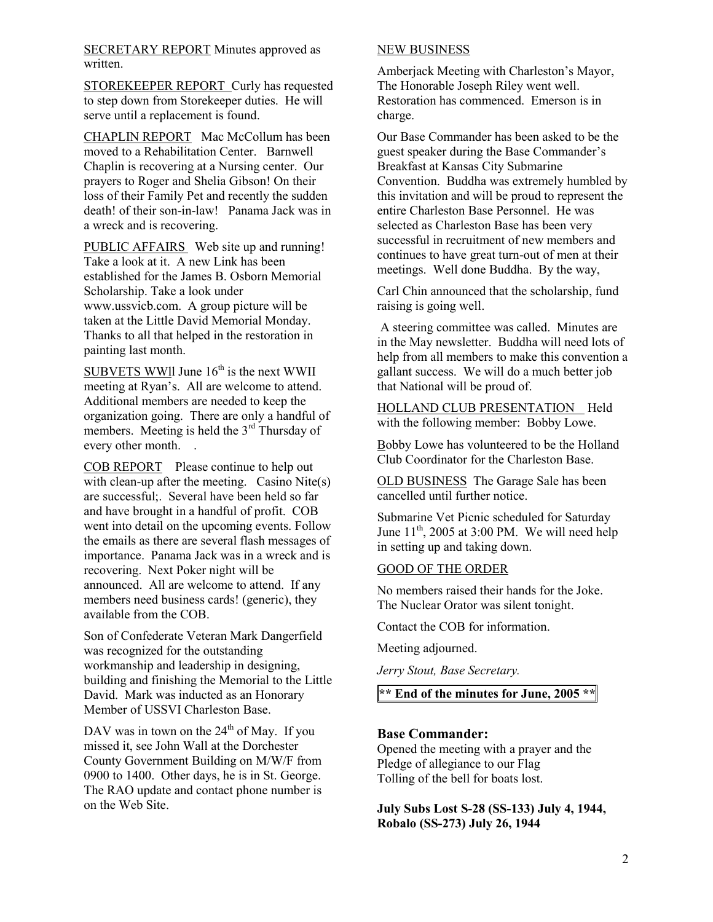SECRETARY REPORT Minutes approved as written.

STOREKEEPER REPORT Curly has requested to step down from Storekeeper duties. He will serve until a replacement is found.

CHAPLIN REPORT Mac McCollum has been moved to a Rehabilitation Center. Barnwell Chaplin is recovering at a Nursing center. Our prayers to Roger and Shelia Gibson! On their loss of their Family Pet and recently the sudden death! of their son-in-law! Panama Jack was in a wreck and is recovering.

PUBLIC AFFAIRS Web site up and running! Take a look at it. A new Link has been established for the James B. Osborn Memorial Scholarship. Take a look under www.ussvicb.com. A group picture will be taken at the Little David Memorial Monday. Thanks to all that helped in the restoration in painting last month.

SUBVETS WWII June  $16<sup>th</sup>$  is the next WWII meeting at Ryan's. All are welcome to attend. Additional members are needed to keep the organization going. There are only a handful of members. Meeting is held the 3<sup>rd</sup> Thursday of every other month.

COB REPORT Please continue to help out with clean-up after the meeting. Casino Nite(s) are successful;. Several have been held so far and have brought in a handful of profit. COB went into detail on the upcoming events. Follow the emails as there are several flash messages of importance. Panama Jack was in a wreck and is recovering. Next Poker night will be announced. All are welcome to attend. If any members need business cards! (generic), they available from the COB.

Son of Confederate Veteran Mark Dangerfield was recognized for the outstanding workmanship and leadership in designing, building and finishing the Memorial to the Little David. Mark was inducted as an Honorary Member of USSVI Charleston Base.

DAV was in town on the  $24<sup>th</sup>$  of May. If you missed it, see John Wall at the Dorchester County Government Building on M/W/F from 0900 to 1400. Other days, he is in St. George. The RAO update and contact phone number is on the Web Site.

#### NEW BUSINESS

Amberjack Meeting with Charleston's Mayor, The Honorable Joseph Riley went well. Restoration has commenced. Emerson is in charge.

Our Base Commander has been asked to be the guest speaker during the Base Commander's Breakfast at Kansas City Submarine Convention. Buddha was extremely humbled by this invitation and will be proud to represent the entire Charleston Base Personnel. He was selected as Charleston Base has been very successful in recruitment of new members and continues to have great turn-out of men at their meetings. Well done Buddha. By the way,

Carl Chin announced that the scholarship, fund raising is going well.

 A steering committee was called. Minutes are in the May newsletter. Buddha will need lots of help from all members to make this convention a gallant success. We will do a much better job that National will be proud of.

HOLLAND CLUB PRESENTATION Held with the following member: Bobby Lowe.

Bobby Lowe has volunteered to be the Holland Club Coordinator for the Charleston Base.

OLD BUSINESS The Garage Sale has been cancelled until further notice.

Submarine Vet Picnic scheduled for Saturday June  $11<sup>th</sup>$ , 2005 at 3:00 PM. We will need help in setting up and taking down.

#### GOOD OF THE ORDER

No members raised their hands for the Joke. The Nuclear Orator was silent tonight.

Contact the COB for information.

Meeting adjourned.

*Jerry Stout, Base Secretary.*

**\*\* End of the minutes for June, 2005 \*\***

#### **Base Commander:**

Opened the meeting with a prayer and the Pledge of allegiance to our Flag Tolling of the bell for boats lost.

**July Subs Lost S-28 (SS-133) July 4, 1944, Robalo (SS-273) July 26, 1944**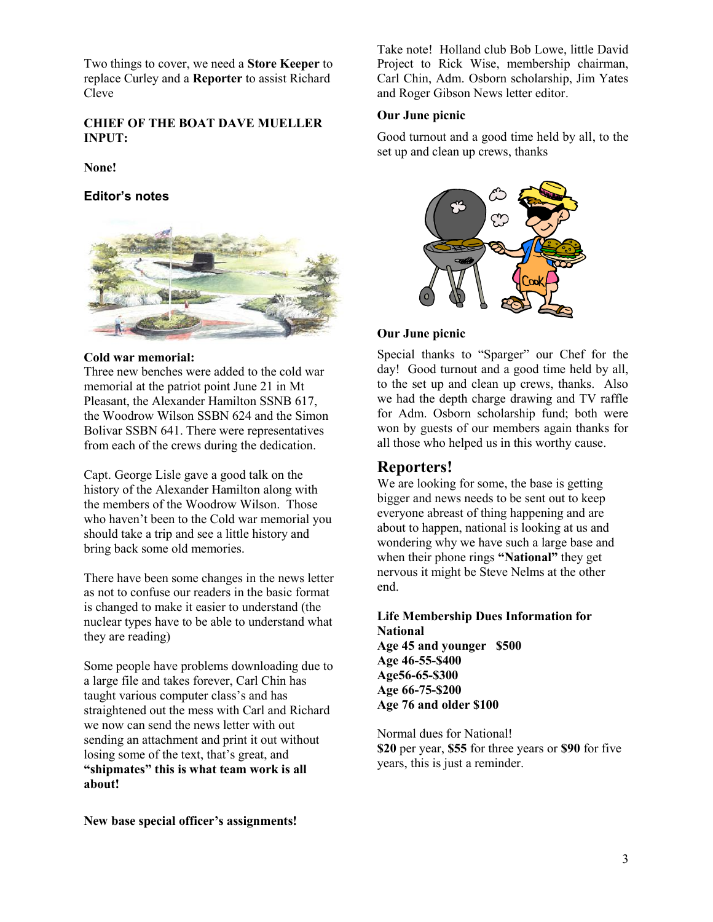Two things to cover, we need a **Store Keeper** to replace Curley and a **Reporter** to assist Richard Cleve

#### **CHIEF OF THE BOAT DAVE MUELLER INPUT:**

**None!**

#### **Editor's notes**



#### **Cold war memorial:**

Three new benches were added to the cold war memorial at the patriot point June 21 in Mt Pleasant, the Alexander Hamilton SSNB 617, the Woodrow Wilson SSBN 624 and the Simon Bolivar SSBN 641. There were representatives from each of the crews during the dedication.

Capt. George Lisle gave a good talk on the history of the Alexander Hamilton along with the members of the Woodrow Wilson. Those who haven't been to the Cold war memorial you should take a trip and see a little history and bring back some old memories.

There have been some changes in the news letter as not to confuse our readers in the basic format is changed to make it easier to understand (the nuclear types have to be able to understand what they are reading)

Some people have problems downloading due to a large file and takes forever, Carl Chin has taught various computer class's and has straightened out the mess with Carl and Richard we now can send the news letter with out sending an attachment and print it out without losing some of the text, that's great, and **"shipmates" this is what team work is all about!**

**New base special officer's assignments!**

Take note! Holland club Bob Lowe, little David Project to Rick Wise, membership chairman, Carl Chin, Adm. Osborn scholarship, Jim Yates and Roger Gibson News letter editor.

#### **Our June picnic**

Good turnout and a good time held by all, to the set up and clean up crews, thanks



#### **Our June picnic**

Special thanks to "Sparger" our Chef for the day! Good turnout and a good time held by all, to the set up and clean up crews, thanks. Also we had the depth charge drawing and TV raffle for Adm. Osborn scholarship fund; both were won by guests of our members again thanks for all those who helped us in this worthy cause.

# **Reporters!**

We are looking for some, the base is getting bigger and news needs to be sent out to keep everyone abreast of thing happening and are about to happen, national is looking at us and wondering why we have such a large base and when their phone rings **"National"** they get nervous it might be Steve Nelms at the other end.

**Life Membership Dues Information for National Age 45 and younger \$500 Age 46-55-\$400 Age56-65-\$300 Age 66-75-\$200 Age 76 and older \$100**

Normal dues for National! **\$20** per year, **\$55** for three years or **\$90** for five years, this is just a reminder.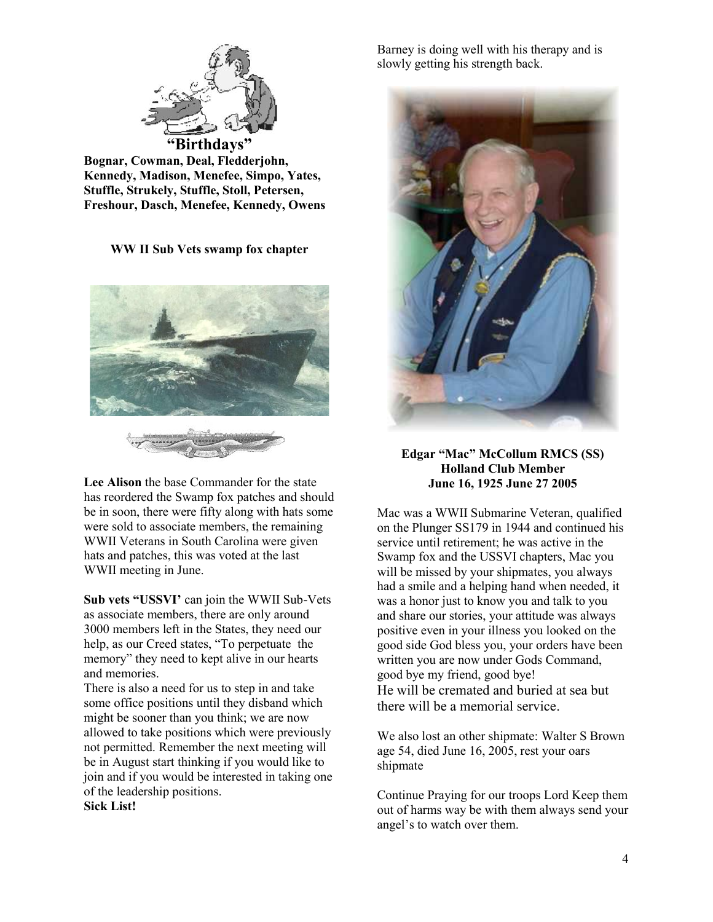

**Bognar, Cowman, Deal, Fledderjohn, Kennedy, Madison, Menefee, Simpo, Yates, Stuffle, Strukely, Stuffle, Stoll, Petersen, Freshour, Dasch, Menefee, Kennedy, Owens**

**WW II Sub Vets swamp fox chapter**





**Sub vets "USSVI'** can join the WWII Sub-Vets as associate members, there are only around 3000 members left in the States, they need our help, as our Creed states, "To perpetuate the memory" they need to kept alive in our hearts and memories.

There is also a need for us to step in and take some office positions until they disband which might be sooner than you think; we are now allowed to take positions which were previously not permitted. Remember the next meeting will be in August start thinking if you would like to join and if you would be interested in taking one of the leadership positions.

**Sick List!**

Barney is doing well with his therapy and is slowly getting his strength back.



## **Edgar "Mac" McCollum RMCS (SS) Holland Club Member June 16, 1925 June 27 2005**

Mac was a WWII Submarine Veteran, qualified on the Plunger SS179 in 1944 and continued his service until retirement; he was active in the Swamp fox and the USSVI chapters, Mac you will be missed by your shipmates, you always had a smile and a helping hand when needed, it was a honor just to know you and talk to you and share our stories, your attitude was always positive even in your illness you looked on the good side God bless you, your orders have been written you are now under Gods Command, good bye my friend, good bye! He will be cremated and buried at sea but there will be a memorial service.

We also lost an other shipmate: Walter S Brown age 54, died June 16, 2005, rest your oars shipmate

Continue Praying for our troops Lord Keep them out of harms way be with them always send your angel's to watch over them.